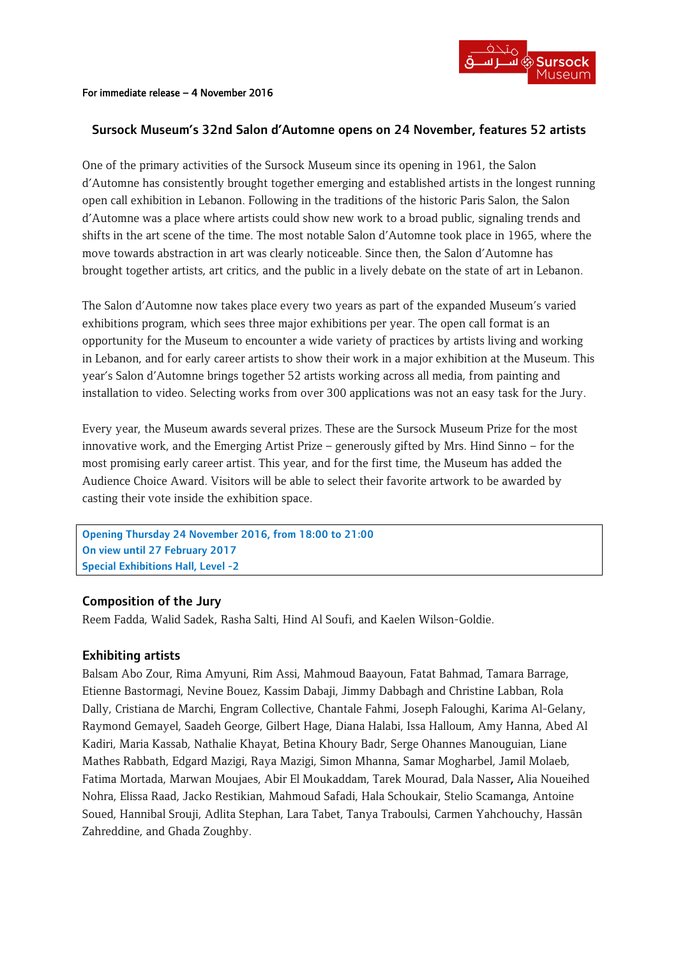#### For immediate release – 4 November 2016

## Sursock Museum's 32nd Salon d'Automne opens on 24 November, features 52 artists

One of the primary activities of the Sursock Museum since its opening in 1961, the Salon d'Automne has consistently brought together emerging and established artists in the longest running open call exhibition in Lebanon. Following in the traditions of the historic Paris Salon, the Salon d'Automne was a place where artists could show new work to a broad public, signaling trends and shifts in the art scene of the time. The most notable Salon d'Automne took place in 1965, where the move towards abstraction in art was clearly noticeable. Since then, the Salon d'Automne has brought together artists, art critics, and the public in a lively debate on the state of art in Lebanon.

The Salon d'Automne now takes place every two years as part of the expanded Museum's varied exhibitions program, which sees three major exhibitions per year. The open call format is an opportunity for the Museum to encounter a wide variety of practices by artists living and working in Lebanon, and for early career artists to show their work in a major exhibition at the Museum. This year's Salon d'Automne brings together 52 artists working across all media, from painting and installation to video. Selecting works from over 300 applications was not an easy task for the Jury.

Every year, the Museum awards several prizes. These are the Sursock Museum Prize for the most innovative work, and the Emerging Artist Prize – generously gifted by Mrs. Hind Sinno – for the most promising early career artist. This year, and for the first time, the Museum has added the Audience Choice Award. Visitors will be able to select their favorite artwork to be awarded by casting their vote inside the exhibition space.

Opening Thursday 24 November 2016, from 18:00 to 21:00 On view until 27 February 2017 Special Exhibitions Hall, Level -2

### Composition of the Jury

Reem Fadda, Walid Sadek, Rasha Salti, Hind Al Soufi, and Kaelen Wilson-Goldie.

### Exhibiting artists

Balsam Abo Zour, Rima Amyuni, Rim Assi, Mahmoud Baayoun, Fatat Bahmad, Tamara Barrage, Etienne Bastormagi, Nevine Bouez, Kassim Dabaji, Jimmy Dabbagh and Christine Labban, Rola Dally, Cristiana de Marchi, Engram Collective, Chantale Fahmi, Joseph Faloughi, Karima Al-Gelany, Raymond Gemayel, Saadeh George, Gilbert Hage, Diana Halabi, Issa Halloum, Amy Hanna, Abed Al Kadiri, Maria Kassab, Nathalie Khayat, Betina Khoury Badr, Serge Ohannes Manouguian, Liane Mathes Rabbath, Edgard Mazigi, Raya Mazigi, Simon Mhanna, Samar Mogharbel, Jamil Molaeb, Fatima Mortada, Marwan Moujaes, Abir El Moukaddam, Tarek Mourad, Dala Nasser, Alia Noueihed Nohra, Elissa Raad, Jacko Restikian, Mahmoud Safadi, Hala Schoukair, Stelio Scamanga, Antoine Soued, Hannibal Srouji, Adlita Stephan, Lara Tabet, Tanya Traboulsi, Carmen Yahchouchy, Hassân Zahreddine, and Ghada Zoughby.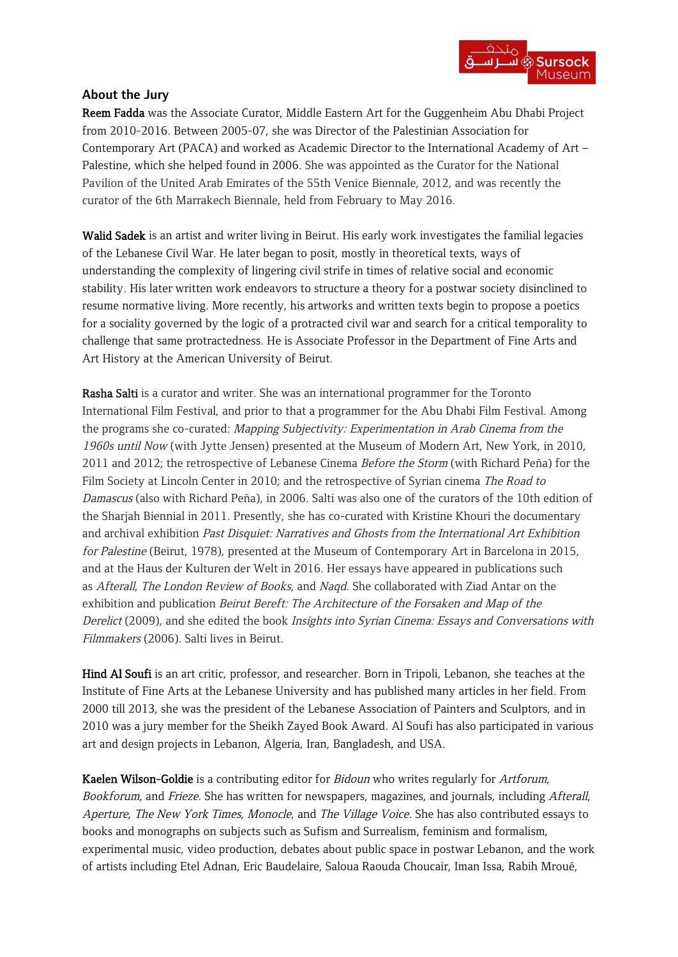

# About the Jury

Reem Fadda was the Associate Curator, Middle Eastern Art for the Guggenheim Abu Dhabi Project from 2010-2016. Between 2005-07, she was Director of the Palestinian Association for Contemporary Art (PACA) and worked as Academic Director to the International Academy of Art – Palestine, which she helped found in 2006. She was appointed as the Curator for the National Pavilion of the United Arab Emirates of the 55th Venice Biennale, 2012, and was recently the curator of the 6th Marrakech Biennale, held from February to May 2016.

Walid Sadek is an artist and writer living in Beirut. His early work investigates the familial legacies of the Lebanese Civil War. He later began to posit, mostly in theoretical texts, ways of understanding the complexity of lingering civil strife in times of relative social and economic stability. His later written work endeavors to structure a theory for a postwar society disinclined to resume normative living. More recently, his artworks and written texts begin to propose a poetics for a sociality governed by the logic of a protracted civil war and search for a critical temporality to challenge that same protractedness. He is Associate Professor in the Department of Fine Arts and Art History at the American University of Beirut.

Rasha Salti is a curator and writer. She was an international programmer for the Toronto International Film Festival, and prior to that a programmer for the Abu Dhabi Film Festival. Among the programs she co-curated: Mapping Subjectivity: Experimentation in Arab Cinema from the 1960s until Now (with Jytte Jensen) presented at the Museum of Modern Art, New York, in 2010, 2011 and 2012; the retrospective of Lebanese Cinema Before the Storm (with Richard Peña) for the Film Society at Lincoln Center in 2010; and the retrospective of Syrian cinema *The Road to* Damascus (also with Richard Peña), in 2006. Salti was also one of the curators of the 10th edition of the Sharjah Biennial in 2011. Presently, she has co-curated with Kristine Khouri the documentary and archival exhibition Past Disquiet: Narratives and Ghosts from the International Art Exhibition for Palestine (Beirut, 1978), presented at the Museum of Contemporary Art in Barcelona in 2015, and at the Haus der Kulturen der Welt in 2016. Her essays have appeared in publications such as Afterall, The London Review of Books, and Naqd. She collaborated with Ziad Antar on the exhibition and publication Beirut Bereft: The Architecture of the Forsaken and Map of the Derelict (2009), and she edited the book Insights into Syrian Cinema: Essays and Conversations with Filmmakers (2006). Salti lives in Beirut.

Hind Al Soufi is an art critic, professor, and researcher. Born in Tripoli, Lebanon, she teaches at the Institute of Fine Arts at the Lebanese University and has published many articles in her field. From 2000 till 2013, she was the president of the Lebanese Association of Painters and Sculptors, and in 2010 was a jury member for the Sheikh Zayed Book Award. Al Soufi has also participated in various art and design projects in Lebanon, Algeria, Iran, Bangladesh, and USA.

Kaelen Wilson-Goldie is a contributing editor for Bidoun who writes regularly for Artforum, Bookforum, and Frieze. She has written for newspapers, magazines, and journals, including Afterall, Aperture, The New York Times, Monocle, and The Village Voice. She has also contributed essays to books and monographs on subjects such as Sufism and Surrealism, feminism and formalism, experimental music, video production, debates about public space in postwar Lebanon, and the work of artists including Etel Adnan, Eric Baudelaire, Saloua Raouda Choucair, Iman Issa, Rabih Mroué,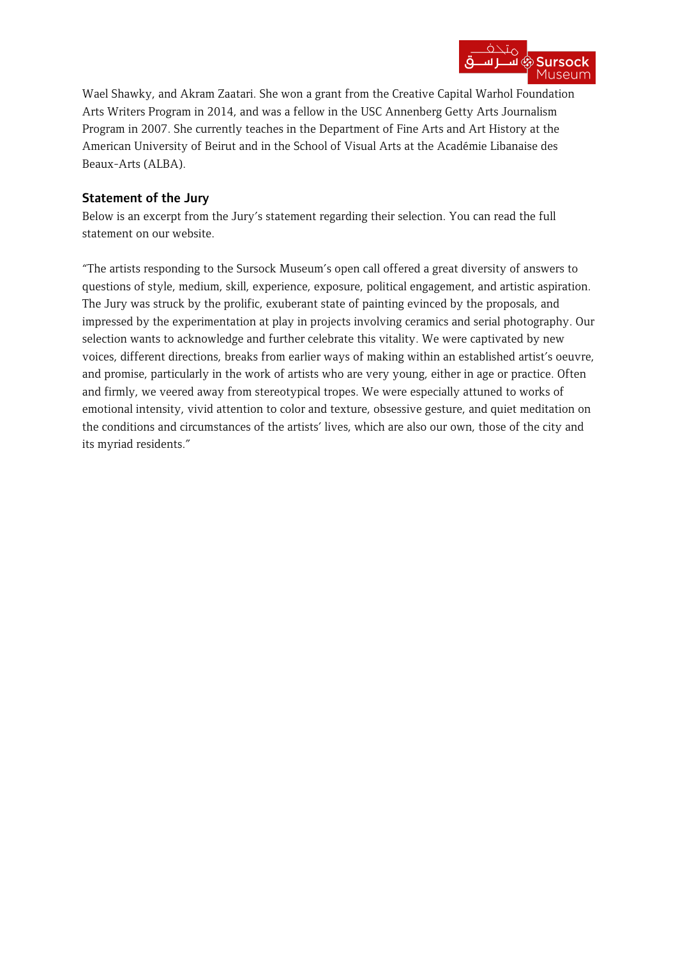

Wael Shawky, and Akram Zaatari. She won a grant from the Creative Capital Warhol Foundation Arts Writers Program in 2014, and was a fellow in the USC Annenberg Getty Arts Journalism Program in 2007. She currently teaches in the Department of Fine Arts and Art History at the American University of Beirut and in the School of Visual Arts at the Académie Libanaise des Beaux-Arts (ALBA).

# Statement of the Jury

Below is an excerpt from the Jury's statement regarding their selection. You can read the full statement on our website.

"The artists responding to the Sursock Museum's open call offered a great diversity of answers to questions of style, medium, skill, experience, exposure, political engagement, and artistic aspiration. The Jury was struck by the prolific, exuberant state of painting evinced by the proposals, and impressed by the experimentation at play in projects involving ceramics and serial photography. Our selection wants to acknowledge and further celebrate this vitality. We were captivated by new voices, different directions, breaks from earlier ways of making within an established artist's oeuvre, and promise, particularly in the work of artists who are very young, either in age or practice. Often and firmly, we veered away from stereotypical tropes. We were especially attuned to works of emotional intensity, vivid attention to color and texture, obsessive gesture, and quiet meditation on the conditions and circumstances of the artists' lives, which are also our own, those of the city and its myriad residents."